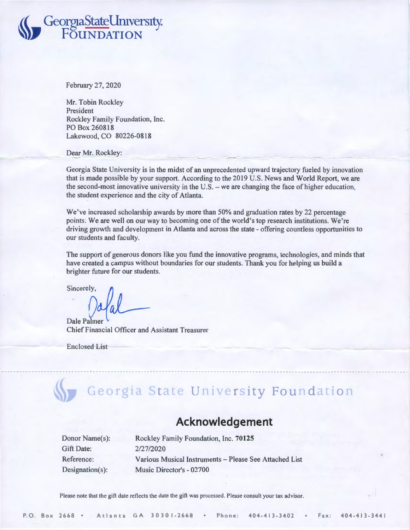## **l(( GeorgiaStateUmvers1ty.**  ~), **FOUNDATION**

February 27, 2020

Mr. Tobin Rockley President Rockley Family Foundation, Inc. PO Box 260818 Lakewood, CO 80226-0818

Dear Mr. Rockley:

Georgia State University is in the midst of an unprecedented upward trajectory fueled by innovation that is made possible by your support. According to the 2019 U.S. News and World Report, we are the second-most innovative university in the U.S. - we are changing the face of higher education, the student experience and the city of Atlanta.

We've increased scholarship awards by more than 50% and graduation rates by 22 percentage points; We are well on our way to becoming one of the world's top research institutions. We're driving growth and development in Atlanta and across the state - offering countless opportunities to our students and faculty.

The support of generous donors like you fund the innovative programs, technologies, and minds that have created a campus without boundaries for our students. Thank you for helping us build a brighter future for our students.

Sincerely,  $\int_{a}$ 

Dale Palmer Chief Financial Officer and Assistant Treasurer

Enclosed List

## Georgia State University Foundation

## **Acknowledgement**

| Donor Name(s):  |
|-----------------|
| Gift Date:      |
| Reference:      |
| Designation(s): |

Rackley Family Foundation, Inc. **70125**  2/27/2020 Various Musical Instruments - Please See Attached List Music Director's - 02700

Please note that the gift date reflects the date the gift was processed. Please consult your tax advisor.